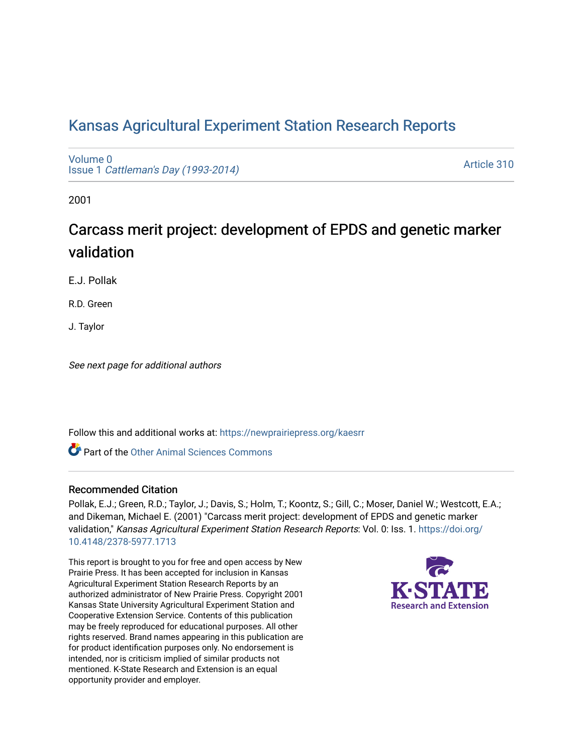# [Kansas Agricultural Experiment Station Research Reports](https://newprairiepress.org/kaesrr)

[Volume 0](https://newprairiepress.org/kaesrr/vol0) Issue 1 [Cattleman's Day \(1993-2014\)](https://newprairiepress.org/kaesrr/vol0/iss1) 

[Article 310](https://newprairiepress.org/kaesrr/vol0/iss1/310) 

2001

# Carcass merit project: development of EPDS and genetic marker validation

E.J. Pollak

R.D. Green

J. Taylor

See next page for additional authors

Follow this and additional works at: [https://newprairiepress.org/kaesrr](https://newprairiepress.org/kaesrr?utm_source=newprairiepress.org%2Fkaesrr%2Fvol0%2Fiss1%2F310&utm_medium=PDF&utm_campaign=PDFCoverPages) 

Part of the [Other Animal Sciences Commons](http://network.bepress.com/hgg/discipline/82?utm_source=newprairiepress.org%2Fkaesrr%2Fvol0%2Fiss1%2F310&utm_medium=PDF&utm_campaign=PDFCoverPages)

#### Recommended Citation

Pollak, E.J.; Green, R.D.; Taylor, J.; Davis, S.; Holm, T.; Koontz, S.; Gill, C.; Moser, Daniel W.; Westcott, E.A.; and Dikeman, Michael E. (2001) "Carcass merit project: development of EPDS and genetic marker validation," Kansas Agricultural Experiment Station Research Reports: Vol. 0: Iss. 1. [https://doi.org/](https://doi.org/10.4148/2378-5977.1713) [10.4148/2378-5977.1713](https://doi.org/10.4148/2378-5977.1713)

This report is brought to you for free and open access by New Prairie Press. It has been accepted for inclusion in Kansas Agricultural Experiment Station Research Reports by an authorized administrator of New Prairie Press. Copyright 2001 Kansas State University Agricultural Experiment Station and Cooperative Extension Service. Contents of this publication may be freely reproduced for educational purposes. All other rights reserved. Brand names appearing in this publication are for product identification purposes only. No endorsement is intended, nor is criticism implied of similar products not mentioned. K-State Research and Extension is an equal opportunity provider and employer.

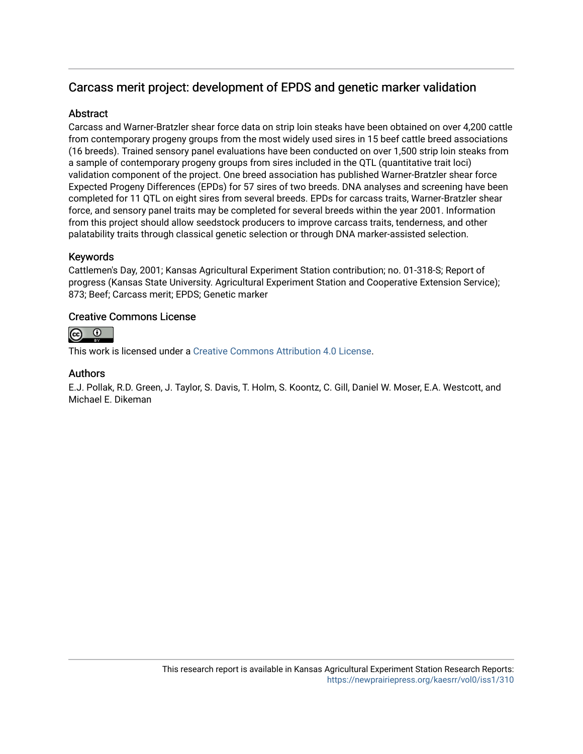# Carcass merit project: development of EPDS and genetic marker validation

# **Abstract**

Carcass and Warner-Bratzler shear force data on strip loin steaks have been obtained on over 4,200 cattle from contemporary progeny groups from the most widely used sires in 15 beef cattle breed associations (16 breeds). Trained sensory panel evaluations have been conducted on over 1,500 strip loin steaks from a sample of contemporary progeny groups from sires included in the QTL (quantitative trait loci) validation component of the project. One breed association has published Warner-Bratzler shear force Expected Progeny Differences (EPDs) for 57 sires of two breeds. DNA analyses and screening have been completed for 11 QTL on eight sires from several breeds. EPDs for carcass traits, Warner-Bratzler shear force, and sensory panel traits may be completed for several breeds within the year 2001. Information from this project should allow seedstock producers to improve carcass traits, tenderness, and other palatability traits through classical genetic selection or through DNA marker-assisted selection.

# Keywords

Cattlemen's Day, 2001; Kansas Agricultural Experiment Station contribution; no. 01-318-S; Report of progress (Kansas State University. Agricultural Experiment Station and Cooperative Extension Service); 873; Beef; Carcass merit; EPDS; Genetic marker

# Creative Commons License



This work is licensed under a [Creative Commons Attribution 4.0 License](https://creativecommons.org/licenses/by/4.0/).

# Authors

E.J. Pollak, R.D. Green, J. Taylor, S. Davis, T. Holm, S. Koontz, C. Gill, Daniel W. Moser, E.A. Westcott, and Michael E. Dikeman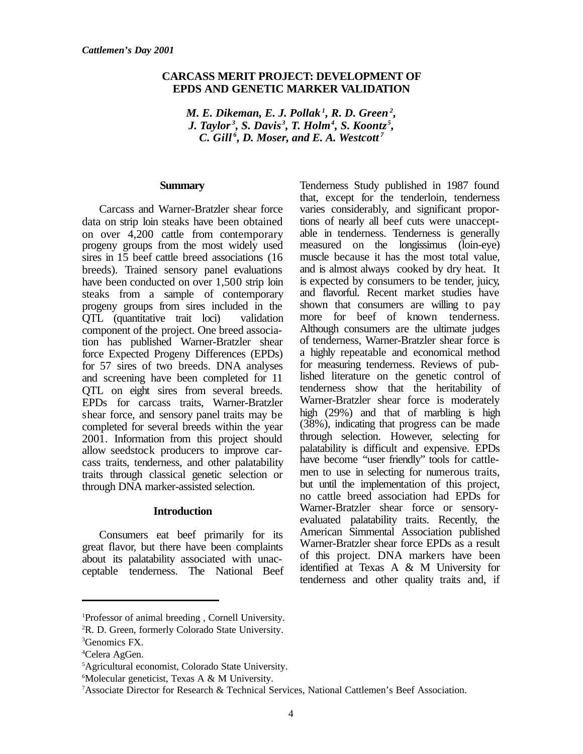### **CARCASS MERIT PROJECT: DEVELOPMENT OF EPDS AND GENETIC MARKER VALIDATION**

*M. E. Dikeman, E. J. Pollak <sup>1</sup> , R. D. Green<sup>2</sup> , J. Taylor <sup>3</sup> , S. Davis <sup>3</sup> , T. Holm<sup>4</sup> , S. Koontz <sup>5</sup> , C. Gill <sup>6</sup> , D. Moser, and E. A. Westcott <sup>7</sup>*

#### **Summary**

Carcass and Warner-Bratzler shear force data on strip loin steaks have been obtained on over 4,200 cattle from contemporary progeny groups from the most widely used sires in 15 beef cattle breed associations (16 breeds). Trained sensory panel evaluations have been conducted on over 1,500 strip loin steaks from a sample of contemporary progeny groups from sires included in the QTL (quantitative trait loci) validation component of the project. One breed association has published Warner-Bratzler shear force Expected Progeny Differences (EPDs) for 57 sires of two breeds. DNA analyses and screening have been completed for 11 QTL on eight sires from several breeds. EPDs for carcass traits, Warner-Bratzler shear force, and sensory panel traits may be completed for several breeds within the year 2001. Information from this project should allow seedstock producers to improve carcass traits, tenderness, and other palatability traits through classical genetic selection or through DNA marker-assisted selection.

#### **Introduction**

Consumers eat beef primarily for its great flavor, but there have been complaints about its palatability associated with unacceptable tenderness. The National Beef Tenderness Study published in 1987 found that, except for the tenderloin, tenderness varies considerably, and significant proportions of nearly all beef cuts were unacceptable in tenderness. Tenderness is generally measured on the longissimus (loin-eye) muscle because it has the most total value, and is almost always cooked by dry heat. It is expected by consumers to be tender, juicy, and flavorful. Recent market studies have shown that consumers are willing to pay more for beef of known tenderness. Although consumers are the ultimate judges of tenderness, Warner-Bratzler shear force is a highly repeatable and economical method for measuring tenderness. Reviews of published literature on the genetic control of tenderness show that the heritability of Warner-Bratzler shear force is moderately high (29%) and that of marbling is high (38%), indicating that progress can be made through selection. However, selecting for palatability is difficult and expensive. EPDs have become "user friendly" tools for cattlemen to use in selecting for numerous traits, but until the implementation of this project, no cattle breed association had EPDs for Warner-Bratzler shear force or sensoryevaluated palatability traits. Recently, the American Simmental Association published Warner-Bratzler shear force EPDs as a result of this project. DNA markers have been identified at Texas A & M University for tenderness and other quality traits and, if

<sup>1</sup>Professor of animal breeding , Cornell University.

<sup>&</sup>lt;sup>2</sup>R. D. Green, formerly Colorado State University.

<sup>3</sup>Genomics FX.

<sup>4</sup>Celera AgGen.

<sup>5</sup>Agricultural economist, Colorado State University.

 $6$ Molecular geneticist, Texas A & M University.

<sup>7</sup>Associate Director for Research & Technical Services, National Cattlemen's Beef Association.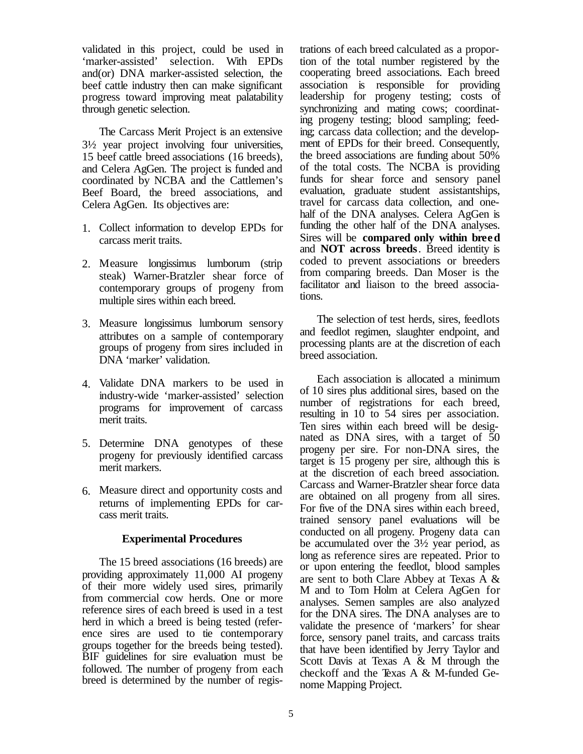validated in this project, could be used in 'marker-assisted' selection. With EPDs and(or) DNA marker-assisted selection, the beef cattle industry then can make significant progress toward improving meat palatability through genetic selection.

The Carcass Merit Project is an extensive 3½ year project involving four universities, 15 beef cattle breed associations (16 breeds), and Celera AgGen. The project is funded and coordinated by NCBA and the Cattlemen's Beef Board, the breed associations, and Celera AgGen. Its objectives are:

- 1. Collect information to develop EPDs for carcass merit traits.
- 2. Measure longissimus lumborum (strip steak) Warner-Bratzler shear force of contemporary groups of progeny from multiple sires within each breed.
- 3. Measure longissimus lumborum sensory attributes on a sample of contemporary groups of progeny from sires included in DNA 'marker' validation.
- 4. Validate DNA markers to be used in industry-wide 'marker-assisted' selection programs for improvement of carcass merit traits.
- 5. Determine DNA genotypes of these progeny for previously identified carcass merit markers.
- 6. Measure direct and opportunity costs and returns of implementing EPDs for carcass merit traits.

#### **Experimental Procedures**

The 15 breed associations (16 breeds) are providing approximately 11,000 AI progeny of their more widely used sires, primarily from commercial cow herds. One or more reference sires of each breed is used in a test herd in which a breed is being tested (reference sires are used to tie contemporary groups together for the breeds being tested). BIF guidelines for sire evaluation must be followed. The number of progeny from each breed is determined by the number of registrations of each breed calculated as a proportion of the total number registered by the cooperating breed associations. Each breed association is responsible for providing leadership for progeny testing; costs of synchronizing and mating cows; coordinating progeny testing; blood sampling; feeding; carcass data collection; and the development of EPDs for their breed. Consequently, the breed associations are funding about 50% of the total costs. The NCBA is providing funds for shear force and sensory panel evaluation, graduate student assistantships, travel for carcass data collection, and onehalf of the DNA analyses. Celera AgGen is funding the other half of the DNA analyses. Sires will be **compared only within breed** and **NOT across breeds**. Breed identity is coded to prevent associations or breeders from comparing breeds. Dan Moser is the facilitator and liaison to the breed associations.

The selection of test herds, sires, feedlots and feedlot regimen, slaughter endpoint, and processing plants are at the discretion of each breed association.

Each association is allocated a minimum of 10 sires plus additional sires, based on the number of registrations for each breed, resulting in 10 to 54 sires per association. Ten sires within each breed will be designated as DNA sires, with a target of 50 progeny per sire. For non-DNA sires, the target is 15 progeny per sire, although this is at the discretion of each breed association. Carcass and Warner-Bratzler shear force data are obtained on all progeny from all sires. For five of the DNA sires within each breed, trained sensory panel evaluations will be conducted on all progeny. Progeny data can be accumulated over the 3½ year period, as long as reference sires are repeated. Prior to or upon entering the feedlot, blood samples are sent to both Clare Abbey at Texas A & M and to Tom Holm at Celera AgGen for analyses. Semen samples are also analyzed for the DNA sires. The DNA analyses are to validate the presence of 'markers' for shear force, sensory panel traits, and carcass traits that have been identified by Jerry Taylor and Scott Davis at Texas A & M through the checkoff and the Texas A & M-funded Genome Mapping Project.